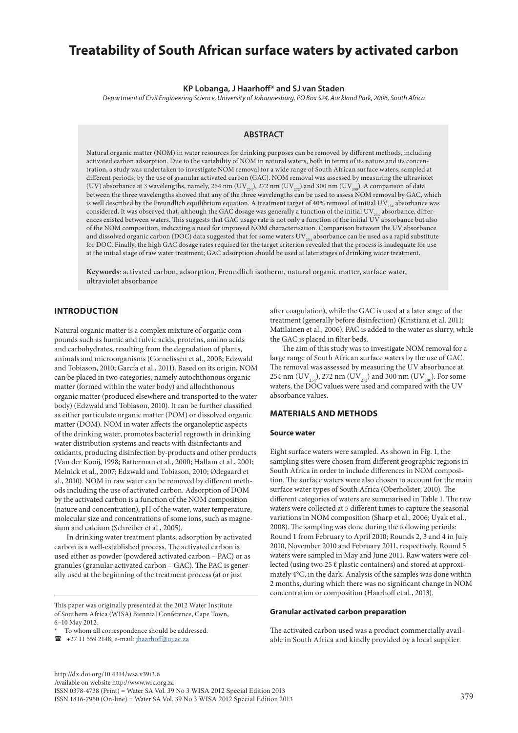# **Treatability of South African surface waters by activated carbon**

**KP Lobanga, J Haarhoff\* and SJ van Staden**

*Department of Civil Engineering Science, University of Johannesburg, PO Box 524, Auckland Park, 2006, South Africa*

## **ABSTRACT**

Natural organic matter (NOM) in water resources for drinking purposes can be removed by different methods, including activated carbon adsorption. Due to the variability of NOM in natural waters, both in terms of its nature and its concentration, a study was undertaken to investigate NOM removal for a wide range of South African surface waters, sampled at different periods, by the use of granular activated carbon (GAC). NOM removal was assessed by measuring the ultraviolet (UV) absorbance at 3 wavelengths, namely, 254 nm (UV<sub>254</sub>), 272 nm (UV<sub>272</sub>) and 300 nm (UV<sub>300</sub>). A comparison of data between the three wavelengths showed that any of the three wavelengths can be used to assess NOM removal by GAC, which is well described by the Freundlich equilibrium equation. A treatment target of 40% removal of initial UV $_{254}$  absorbance was considered. It was observed that, although the GAC dosage was generally a function of the initial UV $_{254}$  absorbance, differences existed between waters. This suggests that GAC usage rate is not only a function of the initial UV absorbance but also of the NOM composition, indicating a need for improved NOM characterisation. Comparison between the UV absorbance and dissolved organic carbon (DOC) data suggested that for some waters  $UV_{254}$  absorbance can be used as a rapid substitute for DOC. Finally, the high GAC dosage rates required for the target criterion revealed that the process is inadequate for use at the initial stage of raw water treatment; GAC adsorption should be used at later stages of drinking water treatment.

**Keywords**: activated carbon, adsorption, Freundlich isotherm, natural organic matter, surface water, ultraviolet absorbance

# **INTRODUCTION**

Natural organic matter is a complex mixture of organic compounds such as humic and fulvic acids, proteins, amino acids and carbohydrates, resulting from the degradation of plants, animals and microorganisms (Cornelissen et al., 2008; Edzwald and Tobiason, 2010; García et al., 2011). Based on its origin, NOM can be placed in two categories, namely autochthonous organic matter (formed within the water body) and allochthonous organic matter (produced elsewhere and transported to the water body) (Edzwald and Tobiason, 2010). It can be further classified as either particulate organic matter (POM) or dissolved organic matter (DOM). NOM in water affects the organoleptic aspects of the drinking water, promotes bacterial regrowth in drinking water distribution systems and reacts with disinfectants and oxidants, producing disinfection by-products and other products (Van der Kooij, 1998; Batterman et al., 2000; Hallam et al., 2001; Melnick et al., 2007; Edzwald and Tobiason, 2010; Ødegaard et al., 2010). NOM in raw water can be removed by different methods including the use of activated carbon. Adsorption of DOM by the activated carbon is a function of the NOM composition (nature and concentration), pH of the water, water temperature, molecular size and concentrations of some ions, such as magnesium and calcium (Schreiber et al., 2005).

In drinking water treatment plants, adsorption by activated carbon is a well-established process. The activated carbon is used either as powder (powdered activated carbon – PAC) or as granules (granular activated carbon – GAC). The PAC is generally used at the beginning of the treatment process (at or just

This paper was originally presented at the 2012 Water Institute of Southern Africa (WISA) Biennial Conference, Cape Town, 6–10 May 2012.

+27 11 559 2148; e-mail: [jhaarhoff@uj.ac.za](mailto:jhaarhoff@uj.ac.za)

after coagulation), while the GAC is used at a later stage of the treatment (generally before disinfection) (Kristiana et al. 2011; Matilainen et al., 2006). PAC is added to the water as slurry, while the GAC is placed in filter beds.

The aim of this study was to investigate NOM removal for a large range of South African surface waters by the use of GAC. The removal was assessed by measuring the UV absorbance at 254 nm (UV<sub>254</sub>), 272 nm (UV<sub>272</sub>) and 300 nm (UV<sub>300</sub>). For some waters, the DOC values were used and compared with the UV absorbance values.

# **MATERIALS AND METHODS**

#### **Source water**

Eight surface waters were sampled. As shown in Fig. 1, the sampling sites were chosen from different geographic regions in South Africa in order to include differences in NOM composition. The surface waters were also chosen to account for the main surface water types of South Africa (Oberholster, 2010). The different categories of waters are summarised in Table 1. The raw waters were collected at 5 different times to capture the seasonal variations in NOM composition (Sharp et al., 2006; Uyak et al., 2008). The sampling was done during the following periods: Round 1 from February to April 2010; Rounds 2, 3 and 4 in July 2010, November 2010 and February 2011, respectively. Round 5 waters were sampled in May and June 2011. Raw waters were collected (using two 25 ℓ plastic containers) and stored at approximately 4°C, in the dark. Analysis of the samples was done within 2 months, during which there was no significant change in NOM concentration or composition (Haarhoff et al., 2013).

#### **Granular activated carbon preparation**

The activated carbon used was a product commercially available in South Africa and kindly provided by a local supplier.

To whom all correspondence should be addressed.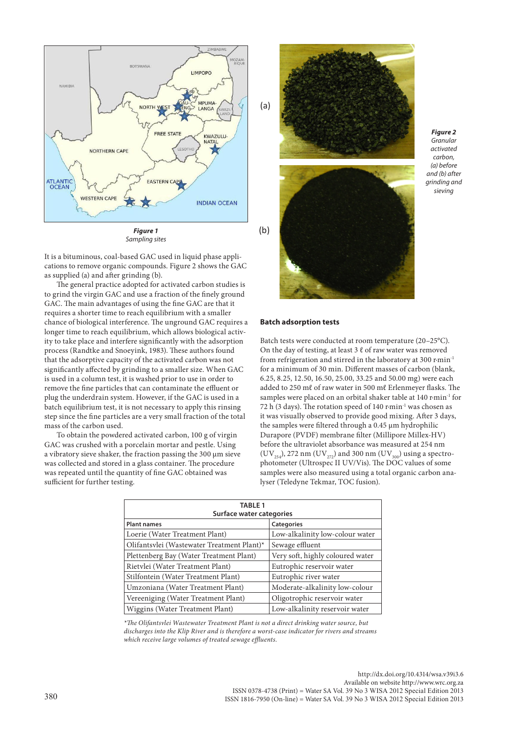

It is a bituminous, coal-based GAC used in liquid phase applications to remove organic compounds. Figure 2 shows the GAC as supplied (a) and after grinding (b).

The general practice adopted for activated carbon studies is to grind the virgin GAC and use a fraction of the finely ground GAC. The main advantages of using the fine GAC are that it requires a shorter time to reach equilibrium with a smaller chance of biological interference. The unground GAC requires a longer time to reach equilibrium, which allows biological activity to take place and interfere significantly with the adsorption process (Randtke and Snoeyink, 1983). These authors found that the adsorptive capacity of the activated carbon was not significantly affected by grinding to a smaller size. When GAC is used in a column test, it is washed prior to use in order to remove the fine particles that can contaminate the effluent or plug the underdrain system. However, if the GAC is used in a batch equilibrium test, it is not necessary to apply this rinsing step since the fine particles are a very small fraction of the total mass of the carbon used.

To obtain the powdered activated carbon, 100 g of virgin GAC was crushed with a porcelain mortar and pestle. Using a vibratory sieve shaker, the fraction passing the 300 µm sieve was collected and stored in a glass container. The procedure was repeated until the quantity of fine GAC obtained was sufficient for further testing.



*Figure 2 Granular activated carbon, (a) before and (b) after grinding and sieving*

#### **Batch adsorption tests**

Batch tests were conducted at room temperature (20–25°C). On the day of testing, at least  $3 \ell$  of raw water was removed from refrigeration and stirred in the laboratory at 300 r⋅min<sup>-1</sup> for a minimum of 30 min. Different masses of carbon (blank, 6.25, 8.25, 12.50, 16.50, 25.00, 33.25 and 50.00 mg) were each added to 250 mℓ of raw water in 500 mℓ Erlenmeyer flasks. The samples were placed on an orbital shaker table at 140 r∙min-1 for 72 h (3 days). The rotation speed of 140 r⋅min<sup>-1</sup> was chosen as it was visually observed to provide good mixing. After 3 days, the samples were filtered through a 0.45 µm hydrophilic Durapore (PVDF) membrane filter (Millipore Millex-HV) before the ultraviolet absorbance was measured at 254 nm  $({\rm UV}_{_{254}})$ , 272 nm  $({\rm UV}_{_{272}})$  and 300 nm  $({\rm UV}_{_{300}})$  using a spectrophotometer (Ultrospec II UV/Vis). The DOC values of some samples were also measured using a total organic carbon analyser (Teledyne Tekmar, TOC fusion).

| <b>TABLE 1</b><br>Surface water categories |                                  |  |  |  |  |  |  |  |  |
|--------------------------------------------|----------------------------------|--|--|--|--|--|--|--|--|
| <b>Plant names</b>                         | Categories                       |  |  |  |  |  |  |  |  |
| Loerie (Water Treatment Plant)             | Low-alkalinity low-colour water  |  |  |  |  |  |  |  |  |
| Olifantsvlei (Wastewater Treatment Plant)* | Sewage effluent                  |  |  |  |  |  |  |  |  |
| Plettenberg Bay (Water Treatment Plant)    | Very soft, highly coloured water |  |  |  |  |  |  |  |  |
| Rietvlei (Water Treatment Plant)           | Eutrophic reservoir water        |  |  |  |  |  |  |  |  |
| Stilfontein (Water Treatment Plant)        | Eutrophic river water            |  |  |  |  |  |  |  |  |
| Umzoniana (Water Treatment Plant)          | Moderate-alkalinity low-colour   |  |  |  |  |  |  |  |  |
| Vereeniging (Water Treatment Plant)        | Oligotrophic reservoir water     |  |  |  |  |  |  |  |  |
| Wiggins (Water Treatment Plant)            | Low-alkalinity reservoir water   |  |  |  |  |  |  |  |  |

*\*The Olifantsvlei Wastewater Treatment Plant is not a direct drinking water source, but discharges into the Klip River and is therefore a worst-case indicator for rivers and streams which receive large volumes of treated sewage effluents.*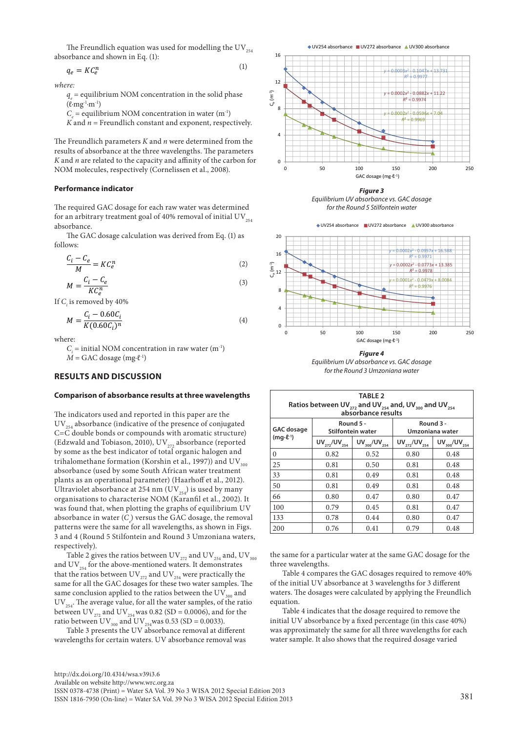The Freundlich equation was used for modelling the UV $_{254}$ absorbance and shown in Eq. (1):

$$
q_e = K C_e^n \tag{1}
$$

*where:* 

 $q_e$  = equilibrium NOM concentration in the solid phase  $(\ell$ ⋅mg<sup>-1</sup>⋅m<sup>-1</sup>)

 $C_e$  = equilibrium NOM concentration in water (m<sup>-1</sup>)

 $K$  and  $n =$  Freundlich constant and exponent, respectively.

The Freundlich parameters *K* and *n* were determined from the results of absorbance at the three wavelengths. The parameters *K* and *n* are related to the capacity and affinity of the carbon for NOM molecules, respectively (Cornelissen et al., 2008).

### **Performance indicator**

The required GAC dosage for each raw water was determined for an arbitrary treatment goal of 40% removal of initial  $UV_{354}$ absorbance.

The GAC dosage calculation was derived from Eq. (1) as follows:

$$
\frac{C_i - C_e}{M} = KC_e^n \tag{2}
$$

$$
M = \frac{C_i - C_e}{KC_e^n} \tag{3}
$$

If *Ci* is removed by 40%

$$
M = \frac{C_i - 0.60C_i}{K(0.60C_i)^n}
$$
 (4)

where:

 $C_i$  = initial NOM concentration in raw water (m<sup>-1</sup>)  $\dot{M}$  = GAC dosage (mg⋅ $\ell$ <sup>-1</sup>)

## **RESULTS AND DISCUSSION**

### **Comparison of absorbance results at three wavelengths**

The indicators used and reported in this paper are the  $UV_{254}$  absorbance (indicative of the presence of conjugated C=C double bonds or compounds with aromatic structure) (Edzwald and Tobiason, 2010), UV $_{272}$  absorbance (reported by some as the best indicator of total organic halogen and trihalomethane formation (Korshin et al., 1997)) and UV $_{300}$ absorbance (used by some South African water treatment plants as an operational parameter) (Haarhoff et al., 2012). Ultraviolet absorbance at 254 nm  $(UV_{254})$  is used by many organisations to characterise NOM (Karanfil et al., 2002). It was found that, when plotting the graphs of equilibrium UV absorbance in water (*C<sub>e</sub>*) versus the GAC dosage, the removal patterns were the same for all wavelengths, as shown in Figs. 3 and 4 (Round 5 Stilfontein and Round 3 Umzoniana waters, respectively).

Table 2 gives the ratios between  $\mathrm{UV}_{_{272}}$  and  $\mathrm{UV}_{_{254}}$  and,  $\mathrm{UV}_{_{300}}$ and  $UV_{254}$  for the above-mentioned waters. It demonstrates that the ratios between  $\mathrm{UV}_{272}$  and  $\mathrm{UV}_{254}$  were practically the same for all the GAC dosages for these two water samples. The same conclusion applied to the ratios between the  $UV_{300}$  and  $UV_{254}$ . The average value, for all the water samples, of the ratio between UV<sub>272</sub> and UV<sub>254</sub> was 0.82 (SD = 0.0006), and for the ratio between UV<sub>300</sub> and UV<sub>254</sub>was 0.53 (SD = 0.0033).

Table 3 presents the UV absorbance removal at different wavelengths for certain waters. UV absorbance removal was



*Figure 3 Equilibrium UV absorbance vs. GAC dosage for the Round 5 Stilfontein water*



*Figure 4 Equilibrium UV absorbance vs. GAC dosage for the Round 3 Umzoniana water*

| <b>TABLE 2</b><br>Ratios between UV <sub>272</sub> and UV <sub>254</sub> and, UV <sub>300</sub> and UV <sub>254</sub><br>absorbance results |                     |                                |                              |                     |  |  |  |  |  |
|---------------------------------------------------------------------------------------------------------------------------------------------|---------------------|--------------------------------|------------------------------|---------------------|--|--|--|--|--|
| <b>GAC</b> dosage                                                                                                                           |                     | Round 5 -<br>Stilfontein water | Round 3 -<br>Umzoniana water |                     |  |  |  |  |  |
| $(mq·l-1)$                                                                                                                                  | $UV_{272}/UV_{254}$ | $UV_{300}/UV_{254}$            | $UV_{272}/UV_{254}$          | $UV_{300}/UV_{254}$ |  |  |  |  |  |
| $\Omega$                                                                                                                                    | 0.82                | 0.52                           | 0.80                         | 0.48                |  |  |  |  |  |
| 25                                                                                                                                          | 0.81                | 0.50                           | 0.81                         | 0.48                |  |  |  |  |  |
| 33                                                                                                                                          | 0.81                | 0.49                           | 0.81                         | 0.48                |  |  |  |  |  |
| 50                                                                                                                                          | 0.81                | 0.49                           | 0.81                         | 0.48                |  |  |  |  |  |
| 66                                                                                                                                          | 0.80                | 0.47                           | 0.80                         | 0.47                |  |  |  |  |  |
| 100                                                                                                                                         | 0.79                | 0.45                           | 0.81                         | 0.47                |  |  |  |  |  |
| 133                                                                                                                                         | 0.78                | 0.44                           | 0.80                         | 0.47                |  |  |  |  |  |
| 200                                                                                                                                         | 0.76                | 0.41                           | 0.79                         | 0.48                |  |  |  |  |  |

the same for a particular water at the same GAC dosage for the three wavelengths.

Table 4 compares the GAC dosages required to remove 40% of the initial UV absorbance at 3 wavelengths for 3 different waters. The dosages were calculated by applying the Freundlich equation.

Table 4 indicates that the dosage required to remove the initial UV absorbance by a fixed percentage (in this case 40%) was approximately the same for all three wavelengths for each water sample. It also shows that the required dosage varied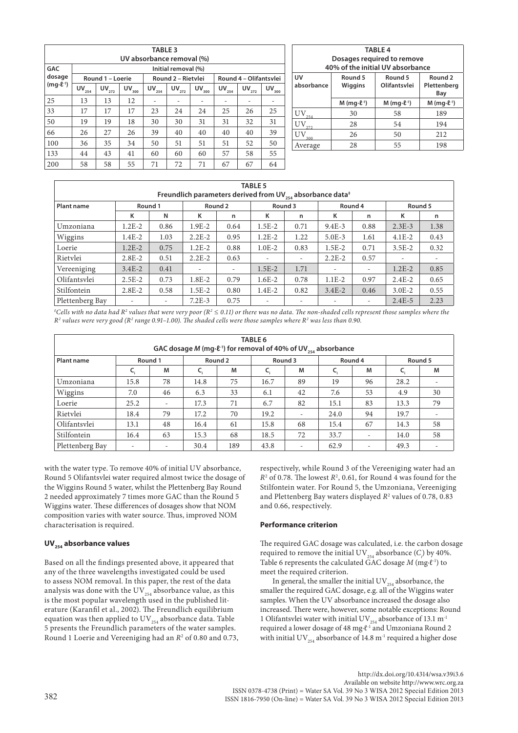| <b>TABLE 3</b><br>UV absorbance removal (%) |            |                  |            |            |                    |            |            |                        |            |  |
|---------------------------------------------|------------|------------------|------------|------------|--------------------|------------|------------|------------------------|------------|--|
| <b>GAC</b><br>Initial removal (%)           |            |                  |            |            |                    |            |            |                        |            |  |
| dosage                                      |            | Round 1 - Loerie |            |            | Round 2 - Rietylei |            |            | Round 4 - Olifantsvlei |            |  |
| $(mq\cdot \ell^{-1})$                       | $UV_{254}$ | $UV_{272}$       | $UV_{300}$ | $UV_{254}$ | $UV_{272}$         | $UV_{300}$ | $UV_{254}$ | $UV_{272}$             | $UV_{300}$ |  |
| 25                                          | 13         | 13               | 12         |            |                    |            |            |                        |            |  |
| 33                                          | 17         | 17               | 17         | 23         | 24                 | 24         | 25         | 26                     | 25         |  |
| 50                                          | 19         | 19               | 18         | 30         | 30                 | 31         | 31         | 32                     | 31         |  |
| 66                                          | 26         | 27               | 26         | 39         | 40                 | 40         | 40         | 40                     | 39         |  |
| 100                                         | 36         | 35               | 34         | 50         | 51                 | 51         | 51         | 52                     | 50         |  |
| 133                                         | 44         | 43               | 41         | 60         | 60                 | 60         | 57         | 58                     | 55         |  |
| 200                                         | 58         | 58               | 55         | 71         | 72                 | 71         | 67         | 67                     | 64         |  |

| <b>TABLE 4</b>                                                                                                       |                                                                                                                                |    |     |  |  |  |  |  |  |  |
|----------------------------------------------------------------------------------------------------------------------|--------------------------------------------------------------------------------------------------------------------------------|----|-----|--|--|--|--|--|--|--|
| Dosages required to remove                                                                                           |                                                                                                                                |    |     |  |  |  |  |  |  |  |
|                                                                                                                      | 40% of the initial UV absorbance                                                                                               |    |     |  |  |  |  |  |  |  |
| UV<br>Round <sub>2</sub><br>Round 5<br>Round 5<br>absorbance<br>Olifantsvlei<br>Plettenberg<br><b>Wiggins</b><br>Bay |                                                                                                                                |    |     |  |  |  |  |  |  |  |
|                                                                                                                      | $M$ (mg $\cdot$ l $\ell$ <sup>-1</sup> )<br>$M$ (mg $\cdot$ l $\ell$ <sup>-1</sup> )<br>$M$ (mg $\cdot$ $\ell$ <sup>-1</sup> ) |    |     |  |  |  |  |  |  |  |
|                                                                                                                      | 30                                                                                                                             | 58 | 189 |  |  |  |  |  |  |  |
|                                                                                                                      | 28                                                                                                                             | 54 | 194 |  |  |  |  |  |  |  |
| 50<br>212<br>26                                                                                                      |                                                                                                                                |    |     |  |  |  |  |  |  |  |
| Average                                                                                                              | 28                                                                                                                             | 55 | 198 |  |  |  |  |  |  |  |

| <b>TABLE 5</b><br>Freundlich parameters derived from UV $_{254}$ absorbance data <sup>‡</sup> |                          |      |            |         |                          |                          |                          |         |            |         |  |
|-----------------------------------------------------------------------------------------------|--------------------------|------|------------|---------|--------------------------|--------------------------|--------------------------|---------|------------|---------|--|
| Plant name                                                                                    | Round 1                  |      |            | Round 2 | Round 3                  |                          |                          | Round 4 |            | Round 5 |  |
|                                                                                               | к                        | N    | к          | n       | Κ                        | n                        | к                        | n       | κ          | n       |  |
| Umzoniana                                                                                     | $1.2E - 2$               | 0.86 | $1.9E-2$   | 0.64    | $1.5E - 2$               | 0.71                     | $9.4E - 3$               | 0.88    | $2.3E-3$   | 1.38    |  |
| Wiggins                                                                                       | $1.4E - 2$               | 1.03 | $2.2E-2$   | 0.95    | $1.2E - 2$               | 1.22                     | $5.0E - 3$               | 1.61    | $4.1E-2$   | 0.43    |  |
| Loerie                                                                                        | $1.2E-2$                 | 0.75 | $1.2E-2$   | 0.88    | $1.0E-2$                 | 0.83                     | $1.5E-2$                 | 0.71    | $3.5E - 2$ | 0.32    |  |
| Rietvlei                                                                                      | $2.8E - 2$               | 0.51 | $2.2E-2$   | 0.63    |                          | $\overline{\phantom{a}}$ | $2.2E - 2$               | 0.57    |            |         |  |
| Vereeniging                                                                                   | $3.4E - 2$               | 0.41 |            | -       | $1.5E - 2$               | 1.71                     |                          | -       | $1.2E - 2$ | 0.85    |  |
| Olifantsvlei                                                                                  | $2.5E-2$                 | 0.73 | $1.8E - 2$ | 0.79    | $1.6E - 2$               | 0.78                     | $1.1E-2$                 | 0.97    | $2.4E-2$   | 0.65    |  |
| Stilfontein                                                                                   | $2.8E - 2$               | 0.58 | $1.5E-2$   | 0.80    | $1.4E - 2$               | 0.82                     | $3.4E - 2$               | 0.46    | $3.0E - 2$ | 0.55    |  |
| Plettenberg Bay                                                                               | $\overline{\phantom{m}}$ |      | $7.2E-3$   | 0.75    | $\overline{\phantom{a}}$ | $\overline{\phantom{a}}$ | $\overline{\phantom{a}}$ |         | $2.4E-5$   | 2.23    |  |

| $^{\ast}$ Cells with no data had R² values that were very poor (R² ≤ 0.11) or there was no data. The non-shaded cells represent those samples where the |
|---------------------------------------------------------------------------------------------------------------------------------------------------------|
| $R^2$ values were very good ( $R^2$ range 0.91–1.00). The shaded cells were those samples where $R^2$ was less than 0.90.                               |

| TABLE 6<br>GAC dosage M (mg $\cdot$ le <sup>-1</sup> ) for removal of 40% of UV <sub>254</sub> absorbance |                          |                          |         |     |         |                          |         |                          |         |                          |
|-----------------------------------------------------------------------------------------------------------|--------------------------|--------------------------|---------|-----|---------|--------------------------|---------|--------------------------|---------|--------------------------|
| <b>Plant name</b>                                                                                         | Round 1                  |                          | Round 2 |     | Round 3 |                          | Round 4 |                          | Round 5 |                          |
|                                                                                                           |                          | М                        |         | M   |         | М                        | c,      | М                        |         | M                        |
| Umzoniana                                                                                                 | 15.8                     | 78                       | 14.8    | 75  | 16.7    | 89                       | 19      | 96                       | 28.2    | -                        |
| Wiggins                                                                                                   | 7.0                      | 46                       | 6.3     | 33  | 6.1     | 42                       | 7.6     | 53                       | 4.9     | 30                       |
| Loerie                                                                                                    | 25.2                     |                          | 17.3    | 71  | 6.7     | 82                       | 15.1    | 83                       | 13.3    | 79                       |
| Rietvlei                                                                                                  | 18.4                     | 79                       | 17.2    | 70  | 19.2    | $\overline{\phantom{a}}$ | 24.0    | 94                       | 19.7    |                          |
| Olifantsvlei                                                                                              | 13.1                     | 48                       | 16.4    | 61  | 15.8    | 68                       | 15.4    | 67                       | 14.3    | 58                       |
| Stilfontein                                                                                               | 16.4                     | 63                       | 15.3    | 68  | 18.5    | 72                       | 33.7    |                          | 14.0    | 58                       |
| Plettenberg Bay                                                                                           | $\overline{\phantom{a}}$ | $\overline{\phantom{0}}$ | 30.4    | 189 | 43.8    | $\overline{\phantom{a}}$ | 62.9    | $\overline{\phantom{a}}$ | 49.3    | $\overline{\phantom{0}}$ |

with the water type. To remove 40% of initial UV absorbance, Round 5 Olifantsvlei water required almost twice the dosage of the Wiggins Round 5 water, whilst the Plettenberg Bay Round 2 needed approximately 7 times more GAC than the Round 5 Wiggins water. These differences of dosages show that NOM composition varies with water source. Thus, improved NOM characterisation is required.

# UV<sub>254</sub> absorbance values

Based on all the findings presented above, it appeared that any of the three wavelengths investigated could be used to assess NOM removal. In this paper, the rest of the data analysis was done with the  $\mathrm{UV}_{\scriptscriptstyle{254}}$  absorbance value, as this is the most popular wavelength used in the published literature (Karanfil et al., 2002). The Freundlich equilibrium equation was then applied to  $UV_{254}$  absorbance data. Table 5 presents the Freundlich parameters of the water samples. Round 1 Loerie and Vereeniging had an *R*<sup>2</sup> of 0.80 and 0.73, respectively, while Round 3 of the Vereeniging water had an  $R<sup>2</sup>$  of 0.78. The lowest  $R<sup>2</sup>$ , 0.61, for Round 4 was found for the Stilfontein water. For Round 5, the Umzoniana, Vereeniging and Plettenberg Bay waters displayed  $R^2$  values of 0.78, 0.83 and 0.66, respectively.

# **Performance criterion**

The required GAC dosage was calculated, i.e. the carbon dosage required to remove the initial UV $_{254}$  absorbance (*C*<sub>*i*</sub>) by 40%. Table 6 represents the calculated GAC dosage *M* (mg∙ℓ-1) to meet the required criterion.

In general, the smaller the initial  $\mathrm{UV}_{254}$  absorbance, the smaller the required GAC dosage, e.g. all of the Wiggins water samples. When the UV absorbance increased the dosage also increased. There were, however, some notable exceptions: Round 1 Olifantsvlei water with initial UV $_{254}$  absorbance of 13.1 m<sup>-1</sup> required a lower dosage of 48 mg∙ℓ-1 and Umzoniana Round 2 with initial UV<sub>254</sub> absorbance of 14.8 m<sup>-1</sup> required a higher dose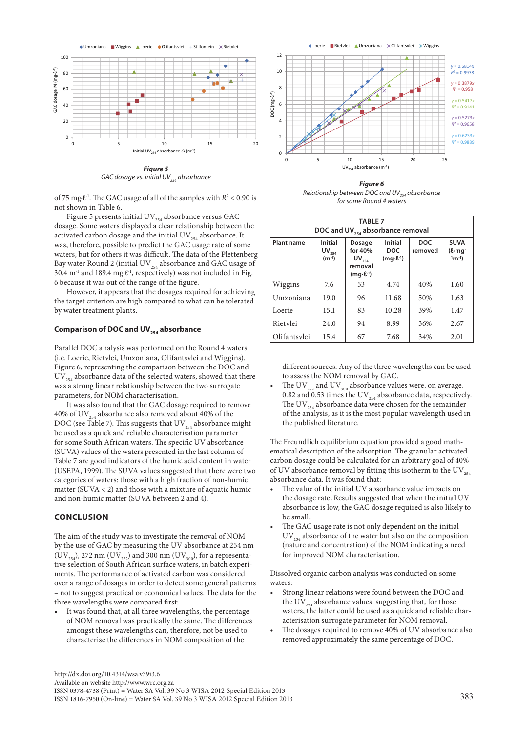

*GAC dosage vs. initial UV*<sub>254</sub> absorbance

of 75 mg∙ℓ-1. The GAC usage of all of the samples with *R*<sup>2</sup> < 0.90 is not shown in Table 6.

Figure 5 presents initial  $\mathrm{UV}_{254}$  absorbance versus GAC dosage. Some waters displayed a clear relationship between the activated carbon dosage and the initial  $\mathrm{UV}_{_{254}}$  absorbance. It was, therefore, possible to predict the GAC usage rate of some waters, but for others it was difficult. The data of the Plettenberg Bay water Round 2 (initial  $UV_{254}$  absorbance and GAC usage of 30.4 m<sup>-1</sup> and 189.4 mg⋅ℓ<sup>-1</sup>, respectively) was not included in Fig. 6 because it was out of the range of the figure.

However, it appears that the dosages required for achieving the target criterion are high compared to what can be tolerated by water treatment plants.

## Comparison of DOC and UV<sub>254</sub> absorbance

Parallel DOC analysis was performed on the Round 4 waters (i.e. Loerie, Rietvlei, Umzoniana, Olifantsvlei and Wiggins). Figure 6, representing the comparison between the DOC and  $UV_{254}$  absorbance data of the selected waters, showed that there was a strong linear relationship between the two surrogate parameters, for NOM characterisation.

It was also found that the GAC dosage required to remove 40% of UV $_{254}$  absorbance also removed about 40% of the DOC (see Table 7). This suggests that  $UV_{254}$  absorbance might be used as a quick and reliable characterisation parameter for some South African waters. The specific UV absorbance (SUVA) values of the waters presented in the last column of Table 7 are good indicators of the humic acid content in water (USEPA, 1999). The SUVA values suggested that there were two categories of waters: those with a high fraction of non-humic matter (SUVA < 2) and those with a mixture of aquatic humic and non-humic matter (SUVA between 2 and 4).

### **CONCLUSION**

The aim of the study was to investigate the removal of NOM by the use of GAC by measuring the UV absorbance at 254 nm  $(UV_{254})$ , 272 nm  $(UV_{272})$  and 300 nm  $(UV_{300})$ , for a representative selection of South African surface waters, in batch experiments. The performance of activated carbon was considered over a range of dosages in order to detect some general patterns – not to suggest practical or economical values. The data for the three wavelengths were compared first:

It was found that, at all three wavelengths, the percentage of NOM removal was practically the same. The differences amongst these wavelengths can, therefore, not be used to characterise the differences in NOM composition of the



*Figure 6 Relationship between DOC and UV*<sub>354</sub> absorbance *for some Round 4 waters*

| <b>TABLE 7</b><br>DOC and UV <sub>254</sub> absorbance removal |                                                                                                                                                                                                                                                        |    |       |     |      |  |  |  |  |  |
|----------------------------------------------------------------|--------------------------------------------------------------------------------------------------------------------------------------------------------------------------------------------------------------------------------------------------------|----|-------|-----|------|--|--|--|--|--|
| <b>Plant name</b>                                              | <b>DOC</b><br><b>Initial</b><br><b>SUVA</b><br>Initial<br>Dosage<br>for 40%<br><b>DOC</b><br>$UV_{254}$<br>removed<br>$(\ell \cdot mq)$<br>$(m^{-1})$<br>$1^1$ m $^{-1}$ )<br>$(mq·l-1)$<br>$\mathsf{UV}_{_{254}}$<br>removal<br>$(mq\cdot \ell^{-1})$ |    |       |     |      |  |  |  |  |  |
| Wiggins                                                        | 7.6                                                                                                                                                                                                                                                    | 53 | 4.74  | 40% | 1.60 |  |  |  |  |  |
| Umzoniana                                                      | 19.0                                                                                                                                                                                                                                                   | 96 | 11.68 | 50% | 1.63 |  |  |  |  |  |
| Loerie                                                         | 15.1                                                                                                                                                                                                                                                   | 83 | 10.28 | 39% | 1.47 |  |  |  |  |  |
| Rietylei                                                       | 24.0                                                                                                                                                                                                                                                   | 94 | 8.99  | 36% | 2.67 |  |  |  |  |  |
| Olifantsylei                                                   | 15.4                                                                                                                                                                                                                                                   | 67 | 7.68  | 34% | 2.01 |  |  |  |  |  |

different sources. Any of the three wavelengths can be used to assess the NOM removal by GAC.

The UV<sub>272</sub> and UV<sub>300</sub> absorbance values were, on average, 0.82 and 0.53 times the UV $_{254}$  absorbance data, respectively. The UV<sub>254</sub> absorbance data were chosen for the remainder of the analysis, as it is the most popular wavelength used in the published literature.

The Freundlich equilibrium equation provided a good mathematical description of the adsorption. The granular activated carbon dosage could be calculated for an arbitrary goal of 40% of UV absorbance removal by fitting this isotherm to the UV $_{254}$ absorbance data. It was found that:

- The value of the initial UV absorbance value impacts on the dosage rate. Results suggested that when the initial UV absorbance is low, the GAC dosage required is also likely to be small.
- The GAC usage rate is not only dependent on the initial  $UV_{254}$  absorbance of the water but also on the composition (nature and concentration) of the NOM indicating a need for improved NOM characterisation.

Dissolved organic carbon analysis was conducted on some waters:

- • Strong linear relations were found between the DOC and the UV $_{254}$  absorbance values, suggesting that, for those waters, the latter could be used as a quick and reliable characterisation surrogate parameter for NOM removal.
- The dosages required to remove 40% of UV absorbance also removed approximately the same percentage of DOC.